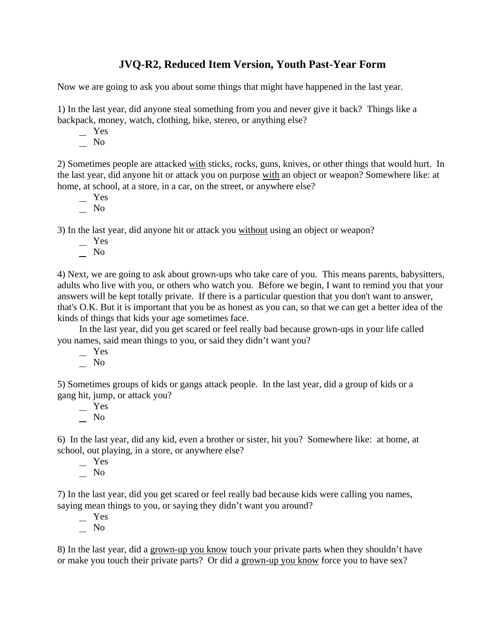## **JVQ-R2, Reduced Item Version, Youth Past-Year Form**

Now we are going to ask you about some things that might have happened in the last year.

1) In the last year, did anyone steal something from you and never give it back? Things like a backpack, money, watch, clothing, bike, stereo, or anything else?

- Yes
- No

2) Sometimes people are attacked with sticks, rocks, guns, knives, or other things that would hurt. In the last year, did anyone hit or attack you on purpose with an object or weapon? Somewhere like: at home, at school, at a store, in a car, on the street, or anywhere else?

- Yes
- No

3) In the last year, did anyone hit or attack you without using an object or weapon?

- Yes
- $\overline{\phantom{0}}$  No

4) Next, we are going to ask about grown-ups who take care of you. This means parents, babysitters, adults who live with you, or others who watch you. Before we begin, I want to remind you that your answers will be kept totally private. If there is a particular question that you don't want to answer, that's O.K. But it is important that you be as honest as you can, so that we can get a better idea of the kinds of things that kids your age sometimes face.

In the last year, did you get scared or feel really bad because grown-ups in your life called you names, said mean things to you, or said they didn't want you?

- Yes
- $\overline{\phantom{0}}$  No

5) Sometimes groups of kids or gangs attack people. In the last year, did a group of kids or a gang hit, jump, or attack you?

 $-$  Yes No

6) In the last year, did any kid, even a brother or sister, hit you? Somewhere like: at home, at school, out playing, in a store, or anywhere else?

- $-$  Yes
- No

7) In the last year, did you get scared or feel really bad because kids were calling you names, saying mean things to you, or saying they didn't want you around?

 Yes No

8) In the last year, did a grown-up you know touch your private parts when they shouldn't have or make you touch their private parts? Or did a grown-up you know force you to have sex?